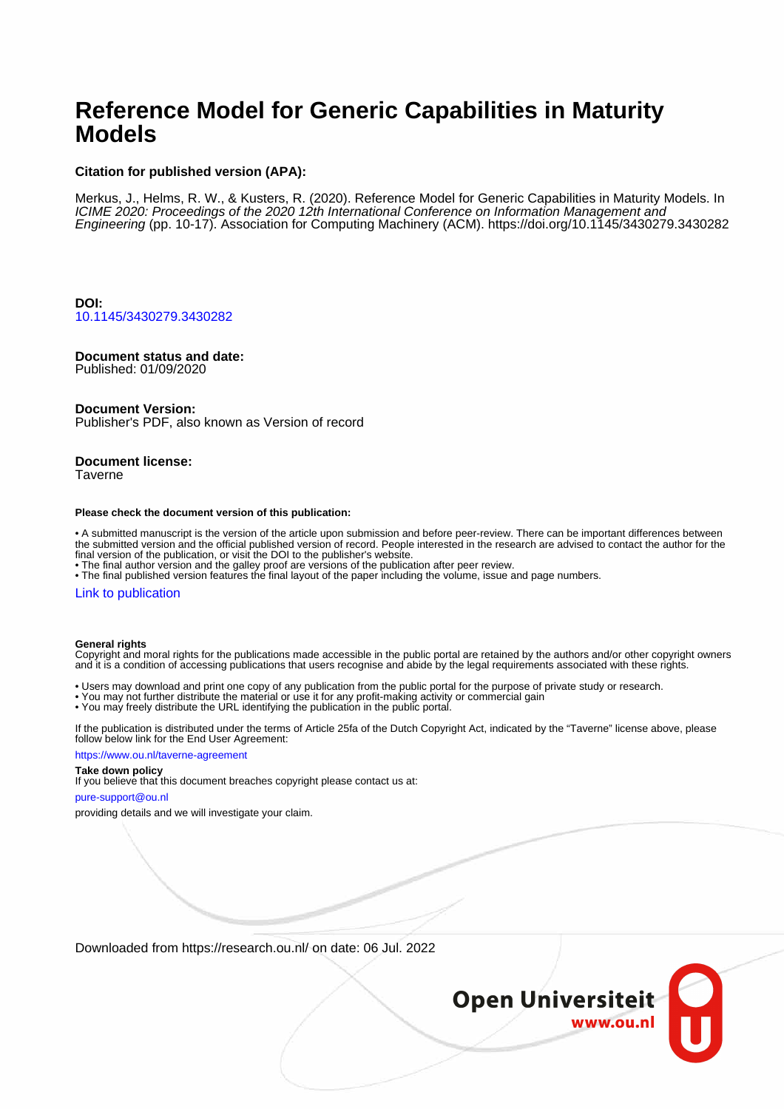## **Reference Model for Generic Capabilities in Maturity Models**

## **Citation for published version (APA):**

Merkus, J., Helms, R. W., & Kusters, R. (2020). Reference Model for Generic Capabilities in Maturity Models. In ICIME 2020: Proceedings of the 2020 12th International Conference on Information Management and Engineering (pp. 10-17). Association for Computing Machinery (ACM).<https://doi.org/10.1145/3430279.3430282>

**DOI:** [10.1145/3430279.3430282](https://doi.org/10.1145/3430279.3430282)

## **Document status and date:**

Published: 01/09/2020

#### **Document Version:**

Publisher's PDF, also known as Version of record

## **Document license:**

Taverne

#### **Please check the document version of this publication:**

• A submitted manuscript is the version of the article upon submission and before peer-review. There can be important differences between the submitted version and the official published version of record. People interested in the research are advised to contact the author for the final version of the publication, or visit the DOI to the publisher's website.

• The final author version and the galley proof are versions of the publication after peer review.

• The final published version features the final layout of the paper including the volume, issue and page numbers.

#### [Link to publication](https://research.ou.nl/en/publications/41a1727c-ae23-4c71-b5d0-922060327cdf)

#### **General rights**

Copyright and moral rights for the publications made accessible in the public portal are retained by the authors and/or other copyright owners and it is a condition of accessing publications that users recognise and abide by the legal requirements associated with these rights.

- Users may download and print one copy of any publication from the public portal for the purpose of private study or research.
- You may not further distribute the material or use it for any profit-making activity or commercial gain
- You may freely distribute the URL identifying the publication in the public portal.

If the publication is distributed under the terms of Article 25fa of the Dutch Copyright Act, indicated by the "Taverne" license above, please follow below link for the End User Agreement:

#### https://www.ou.nl/taverne-agreement

## **Take down policy**

If you believe that this document breaches copyright please contact us at:

#### pure-support@ou.nl

providing details and we will investigate your claim.

Downloaded from https://research.ou.nl/ on date: 06 Jul. 2022

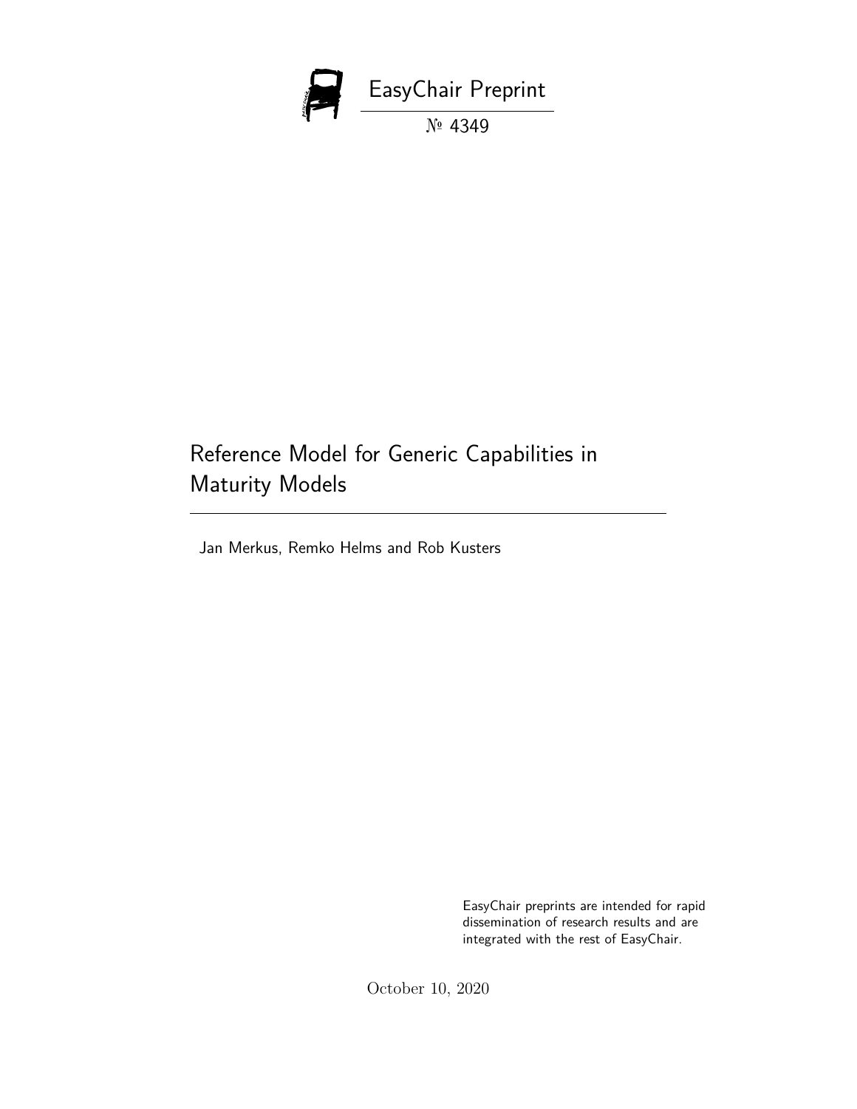

# Reference Model for Generic Capabilities in Maturity Models

Jan Merkus, Remko Helms and Rob Kusters

EasyChair preprints are intended for rapid dissemination of research results and are integrated with the rest of EasyChair.

October 10, 2020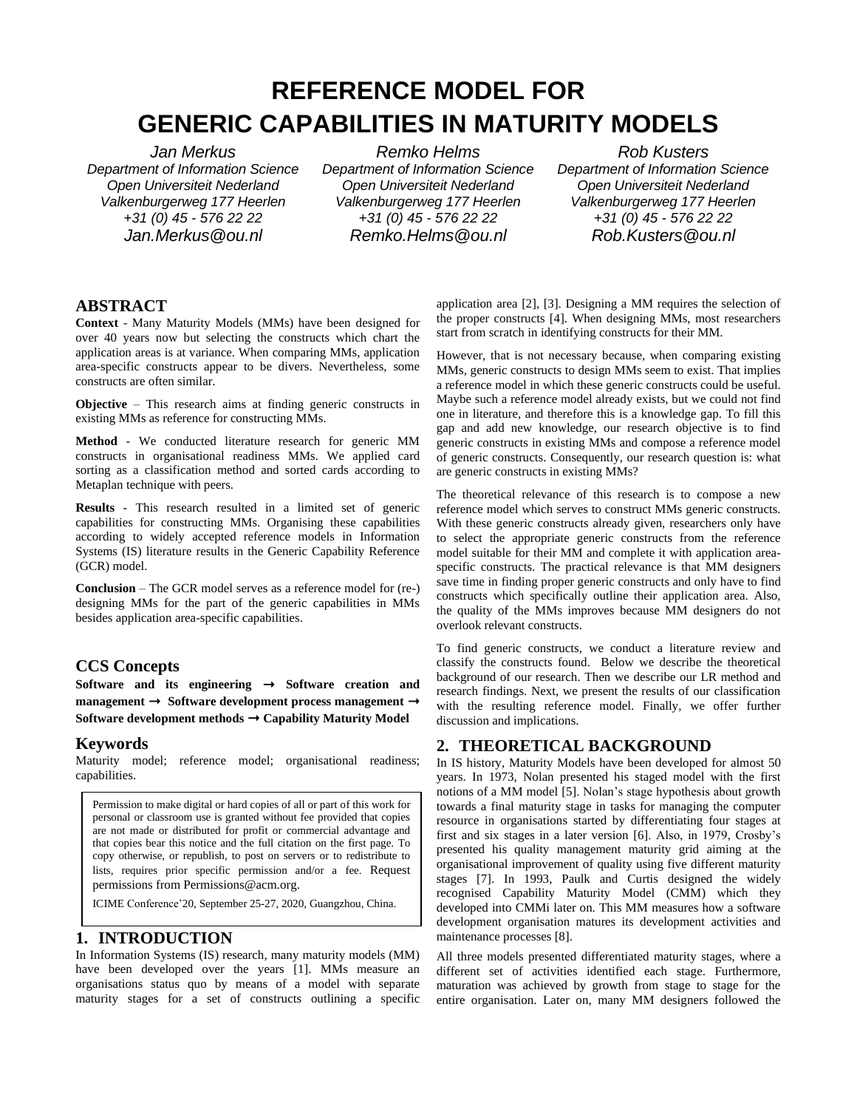# **REFERENCE MODEL FOR GENERIC CAPABILITIES IN MATURITY MODELS**

*Jan Merkus Department of Information Science Open Universiteit Nederland Valkenburgerweg 177 Heerlen +31 (0) 45 - 576 22 22 Jan.Merkus@ou.nl*

*Remko Helms Department of Information Science Open Universiteit Nederland Valkenburgerweg 177 Heerlen +31 (0) 45 - 576 22 22 Remko.Helms@ou.nl*

*Rob Kusters Department of Information Science Open Universiteit Nederland Valkenburgerweg 177 Heerlen +31 (0) 45 - 576 22 22 Rob.Kusters@ou.nl*

## **ABSTRACT**

**Context** - Many Maturity Models (MMs) have been designed for over 40 years now but selecting the constructs which chart the application areas is at variance. When comparing MMs, application area-specific constructs appear to be divers. Nevertheless, some constructs are often similar.

**Objective** – This research aims at finding generic constructs in existing MMs as reference for constructing MMs.

**Method** - We conducted literature research for generic MM constructs in organisational readiness MMs. We applied card sorting as a classification method and sorted cards according to Metaplan technique with peers.

**Results** - This research resulted in a limited set of generic capabilities for constructing MMs. Organising these capabilities according to widely accepted reference models in Information Systems (IS) literature results in the Generic Capability Reference (GCR) model.

**Conclusion** – The GCR model serves as a reference model for (re-) designing MMs for the part of the generic capabilities in MMs besides application area-specific capabilities.

## **CCS Concepts**

**Software and its engineering** ➝ **Software creation and management** ➝ **Software development process management** ➝ **Software development methods → Capability Maturity Model** 

## **Keywords**

Maturity model; reference model; organisational readiness; capabilities.

Permission to make digital or hard copies of all or part of this work for personal or classroom use is granted without fee provided that copies are not made or distributed for profit or commercial advantage and that copies bear this notice and the full citation on the first page. To copy otherwise, or republish, to post on servers or to redistribute to lists, requires prior specific permission and/or a fee. Request permissions from Permissions@acm.org.

ICIME Conference'20, September 25-27, 2020, Guangzhou, China.

## **1. INTRODUCTION**

In Information Systems (IS) research, many maturity models (MM) have been developed over the years [1]. MMs measure an organisations status quo by means of a model with separate maturity stages for a set of constructs outlining a specific

application area [2], [3]. Designing a MM requires the selection of the proper constructs [4]. When designing MMs, most researchers start from scratch in identifying constructs for their MM.

However, that is not necessary because, when comparing existing MMs, generic constructs to design MMs seem to exist. That implies a reference model in which these generic constructs could be useful. Maybe such a reference model already exists, but we could not find one in literature, and therefore this is a knowledge gap. To fill this gap and add new knowledge, our research objective is to find generic constructs in existing MMs and compose a reference model of generic constructs. Consequently, our research question is: what are generic constructs in existing MMs?

The theoretical relevance of this research is to compose a new reference model which serves to construct MMs generic constructs. With these generic constructs already given, researchers only have to select the appropriate generic constructs from the reference model suitable for their MM and complete it with application areaspecific constructs. The practical relevance is that MM designers save time in finding proper generic constructs and only have to find constructs which specifically outline their application area. Also, the quality of the MMs improves because MM designers do not overlook relevant constructs.

To find generic constructs, we conduct a literature review and classify the constructs found. Below we describe the theoretical background of our research. Then we describe our LR method and research findings. Next, we present the results of our classification with the resulting reference model. Finally, we offer further discussion and implications.

## **2. THEORETICAL BACKGROUND**

In IS history, Maturity Models have been developed for almost 50 years. In 1973, Nolan presented his staged model with the first notions of a MM model [5]. Nolan's stage hypothesis about growth towards a final maturity stage in tasks for managing the computer resource in organisations started by differentiating four stages at first and six stages in a later version [6]. Also, in 1979, Crosby's presented his quality management maturity grid aiming at the organisational improvement of quality using five different maturity stages [7]. In 1993, Paulk and Curtis designed the widely recognised Capability Maturity Model (CMM) which they developed into CMMi later on. This MM measures how a software development organisation matures its development activities and maintenance processes [8].

All three models presented differentiated maturity stages, where a different set of activities identified each stage. Furthermore, maturation was achieved by growth from stage to stage for the entire organisation. Later on, many MM designers followed the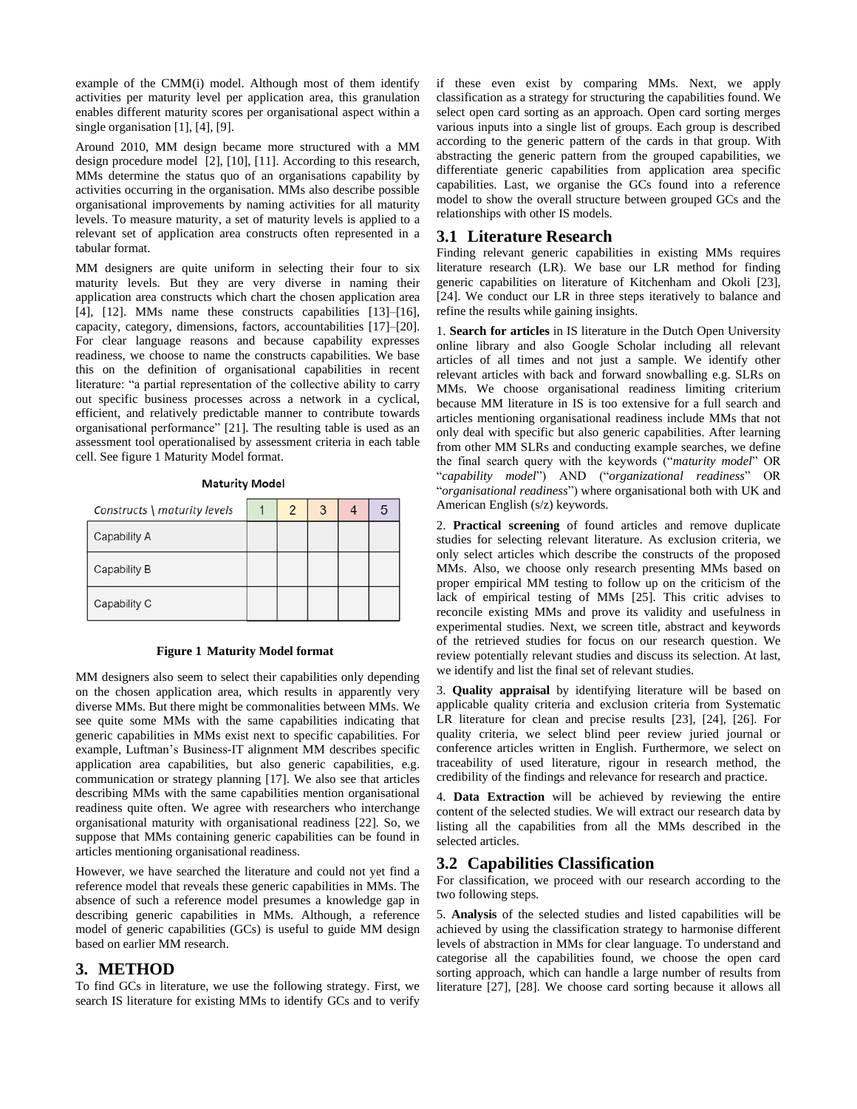example of the CMM(i) model. Although most of them identify activities per maturity level per application area, this granulation enables different maturity scores per organisational aspect within a single organisation [1], [4], [9].

Around 2010, MM design became more structured with a MM design procedure model [2], [10], [11]. According to this research, MMs determine the status quo of an organisations capability by activities occurring in the organisation. MMs also describe possible organisational improvements by naming activities for all maturity levels. To measure maturity, a set of maturity levels is applied to a relevant set of application area constructs often represented in a tabular format.

MM designers are quite uniform in selecting their four to six maturity levels. But they are very diverse in naming their application area constructs which chart the chosen application area [4], [12]. MMs name these constructs capabilities [13]–[16], capacity, category, dimensions, factors, accountabilities [17]–[20]. For clear language reasons and because capability expresses readiness, we choose to name the constructs capabilities. We base this on the definition of organisational capabilities in recent literature: "a partial representation of the collective ability to carry out specific business processes across a network in a cyclical, efficient, and relatively predictable manner to contribute towards organisational performance" [21]. The resulting table is used as an assessment tool operationalised by assessment criteria in each table cell. See figure 1 Maturity Model format.

| Constructs \ maturity levels | 2 | 3 | 5 |
|------------------------------|---|---|---|
| Capability A                 |   |   |   |
| Capability B                 |   |   |   |
| Capability C                 |   |   |   |

#### **Maturity Model**

#### **Figure 1 Maturity Model format**

MM designers also seem to select their capabilities only depending on the chosen application area, which results in apparently very diverse MMs. But there might be commonalities between MMs. We see quite some MMs with the same capabilities indicating that generic capabilities in MMs exist next to specific capabilities. For example, Luftman's Business-IT alignment MM describes specific application area capabilities, but also generic capabilities, e.g. communication or strategy planning [17]. We also see that articles describing MMs with the same capabilities mention organisational readiness quite often. We agree with researchers who interchange organisational maturity with organisational readiness [22]. So, we suppose that MMs containing generic capabilities can be found in articles mentioning organisational readiness.

However, we have searched the literature and could not yet find a reference model that reveals these generic capabilities in MMs. The absence of such a reference model presumes a knowledge gap in describing generic capabilities in MMs. Although, a reference model of generic capabilities (GCs) is useful to guide MM design based on earlier MM research.

### **3. METHOD**

To find GCs in literature, we use the following strategy. First, we search IS literature for existing MMs to identify GCs and to verify if these even exist by comparing MMs. Next, we apply classification as a strategy for structuring the capabilities found. We select open card sorting as an approach. Open card sorting merges various inputs into a single list of groups. Each group is described according to the generic pattern of the cards in that group. With abstracting the generic pattern from the grouped capabilities, we differentiate generic capabilities from application area specific capabilities. Last, we organise the GCs found into a reference model to show the overall structure between grouped GCs and the relationships with other IS models.

#### **3.1 Literature Research**

Finding relevant generic capabilities in existing MMs requires literature research (LR). We base our LR method for finding generic capabilities on literature of Kitchenham and Okoli [23], [24]. We conduct our LR in three steps iteratively to balance and refine the results while gaining insights.

1. **Search for articles** in IS literature in the Dutch Open University online library and also Google Scholar including all relevant articles of all times and not just a sample. We identify other relevant articles with back and forward snowballing e.g. SLRs on MMs. We choose organisational readiness limiting criterium because MM literature in IS is too extensive for a full search and articles mentioning organisational readiness include MMs that not only deal with specific but also generic capabilities. After learning from other MM SLRs and conducting example searches, we define the final search query with the keywords ("*maturity model*" OR "*capability model*") AND ("*organizational readiness*" OR "*organisational readiness*") where organisational both with UK and American English (s/z) keywords.

2. **Practical screening** of found articles and remove duplicate studies for selecting relevant literature. As exclusion criteria, we only select articles which describe the constructs of the proposed MMs. Also, we choose only research presenting MMs based on proper empirical MM testing to follow up on the criticism of the lack of empirical testing of MMs [25]. This critic advises to reconcile existing MMs and prove its validity and usefulness in experimental studies. Next, we screen title, abstract and keywords of the retrieved studies for focus on our research question. We review potentially relevant studies and discuss its selection. At last, we identify and list the final set of relevant studies.

3. **Quality appraisal** by identifying literature will be based on applicable quality criteria and exclusion criteria from Systematic LR literature for clean and precise results [23], [24], [26]. For quality criteria, we select blind peer review juried journal or conference articles written in English. Furthermore, we select on traceability of used literature, rigour in research method, the credibility of the findings and relevance for research and practice.

4. **Data Extraction** will be achieved by reviewing the entire content of the selected studies. We will extract our research data by listing all the capabilities from all the MMs described in the selected articles.

## **3.2 Capabilities Classification**

For classification, we proceed with our research according to the two following steps.

5. **Analysis** of the selected studies and listed capabilities will be achieved by using the classification strategy to harmonise different levels of abstraction in MMs for clear language. To understand and categorise all the capabilities found, we choose the open card sorting approach, which can handle a large number of results from literature [27], [28]. We choose card sorting because it allows all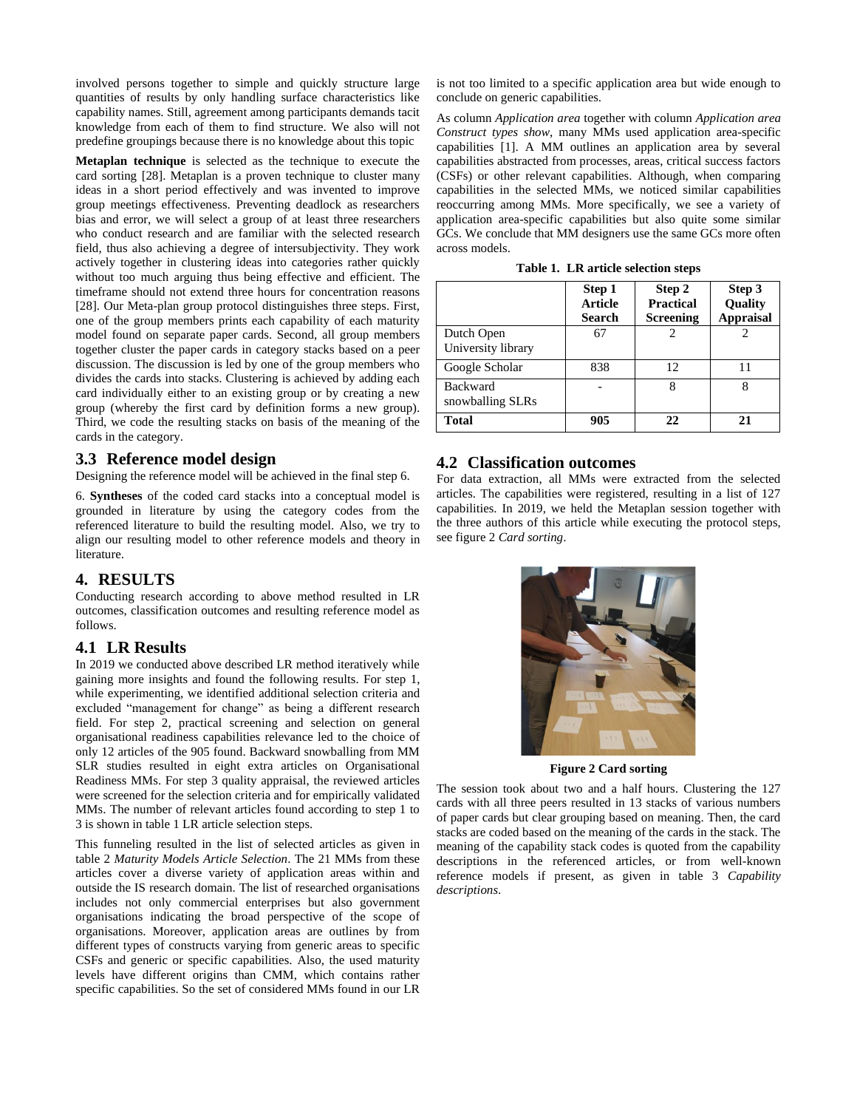involved persons together to simple and quickly structure large quantities of results by only handling surface characteristics like capability names. Still, agreement among participants demands tacit knowledge from each of them to find structure. We also will not predefine groupings because there is no knowledge about this topic

**Metaplan technique** is selected as the technique to execute the card sorting [28]. Metaplan is a proven technique to cluster many ideas in a short period effectively and was invented to improve group meetings effectiveness. Preventing deadlock as researchers bias and error, we will select a group of at least three researchers who conduct research and are familiar with the selected research field, thus also achieving a degree of intersubjectivity. They work actively together in clustering ideas into categories rather quickly without too much arguing thus being effective and efficient. The timeframe should not extend three hours for concentration reasons [28]. Our Meta-plan group protocol distinguishes three steps. First, one of the group members prints each capability of each maturity model found on separate paper cards. Second, all group members together cluster the paper cards in category stacks based on a peer discussion. The discussion is led by one of the group members who divides the cards into stacks. Clustering is achieved by adding each card individually either to an existing group or by creating a new group (whereby the first card by definition forms a new group). Third, we code the resulting stacks on basis of the meaning of the cards in the category.

#### **3.3 Reference model design**

Designing the reference model will be achieved in the final step 6.

6. **Syntheses** of the coded card stacks into a conceptual model is grounded in literature by using the category codes from the referenced literature to build the resulting model. Also, we try to align our resulting model to other reference models and theory in literature.

#### **4. RESULTS**

Conducting research according to above method resulted in LR outcomes, classification outcomes and resulting reference model as follows.

## **4.1 LR Results**

In 2019 we conducted above described LR method iteratively while gaining more insights and found the following results. For step 1, while experimenting, we identified additional selection criteria and excluded "management for change" as being a different research field. For step 2, practical screening and selection on general organisational readiness capabilities relevance led to the choice of only 12 articles of the 905 found. Backward snowballing from MM SLR studies resulted in eight extra articles on Organisational Readiness MMs. For step 3 quality appraisal, the reviewed articles were screened for the selection criteria and for empirically validated MMs. The number of relevant articles found according to step 1 to 3 is shown in table 1 LR article selection steps.

This funneling resulted in the list of selected articles as given in table 2 *Maturity Models Article Selection*. The 21 MMs from these articles cover a diverse variety of application areas within and outside the IS research domain. The list of researched organisations includes not only commercial enterprises but also government organisations indicating the broad perspective of the scope of organisations. Moreover, application areas are outlines by from different types of constructs varying from generic areas to specific CSFs and generic or specific capabilities. Also, the used maturity levels have different origins than CMM, which contains rather specific capabilities. So the set of considered MMs found in our LR is not too limited to a specific application area but wide enough to conclude on generic capabilities.

As column *Application area* together with column *Application area Construct types show*, many MMs used application area-specific capabilities [1]. A MM outlines an application area by several capabilities abstracted from processes, areas, critical success factors (CSFs) or other relevant capabilities. Although, when comparing capabilities in the selected MMs, we noticed similar capabilities reoccurring among MMs. More specifically, we see a variety of application area-specific capabilities but also quite some similar GCs. We conclude that MM designers use the same GCs more often across models.

**Table 1. LR article selection steps**

|                                     | Step 1<br><b>Article</b><br>Search | Step 2<br><b>Practical</b><br><b>Screening</b> | Step 3<br>Quality<br><b>Appraisal</b> |
|-------------------------------------|------------------------------------|------------------------------------------------|---------------------------------------|
| Dutch Open<br>University library    | 67                                 |                                                |                                       |
| Google Scholar                      | 838                                | 12                                             |                                       |
| <b>Backward</b><br>snowballing SLRs |                                    | 8                                              | 8                                     |
| <b>Total</b>                        | 905                                |                                                | 21                                    |

## **4.2 Classification outcomes**

For data extraction, all MMs were extracted from the selected articles. The capabilities were registered, resulting in a list of 127 capabilities. In 2019, we held the Metaplan session together with the three authors of this article while executing the protocol steps, see figure 2 *Card sorting*.



**Figure 2 Card sorting**

The session took about two and a half hours. Clustering the 127 cards with all three peers resulted in 13 stacks of various numbers of paper cards but clear grouping based on meaning. Then, the card stacks are coded based on the meaning of the cards in the stack. The meaning of the capability stack codes is quoted from the capability descriptions in the referenced articles, or from well-known reference models if present, as given in table 3 *Capability descriptions*.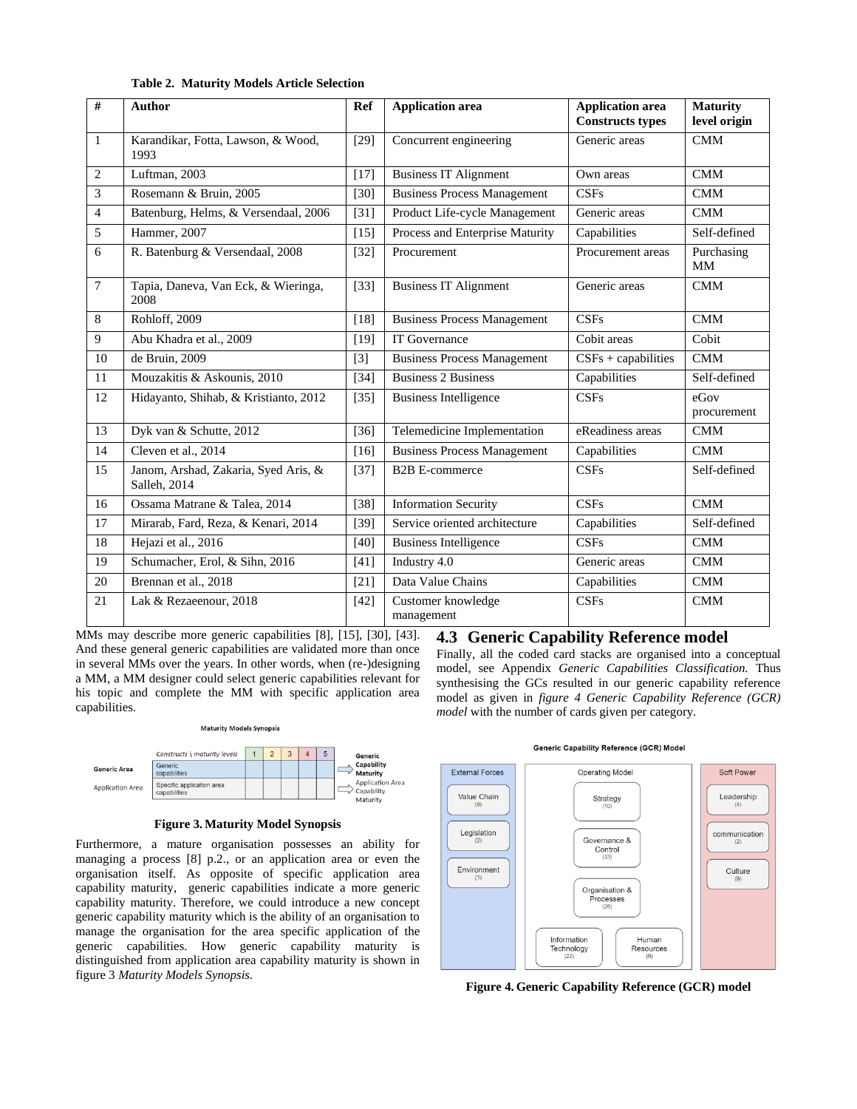|  | <b>Table 2. Maturity Models Article Selection</b> |  |  |  |
|--|---------------------------------------------------|--|--|--|
|--|---------------------------------------------------|--|--|--|

| #              | <b>Author</b>                                        | <b>Ref</b> | <b>Application area</b>            | <b>Application area</b><br><b>Constructs types</b> | <b>Maturity</b><br>level origin |
|----------------|------------------------------------------------------|------------|------------------------------------|----------------------------------------------------|---------------------------------|
| $\mathbf{1}$   | Karandikar, Fotta, Lawson, & Wood,<br>1993           | $[29]$     | Concurrent engineering             | Generic areas                                      | <b>CMM</b>                      |
| $\overline{2}$ | Luftman, 2003                                        | $[17]$     | <b>Business IT Alignment</b>       | Own areas                                          | CMM                             |
| 3              | Rosemann & Bruin, 2005                               | $[30]$     | <b>Business Process Management</b> | CSFs                                               | <b>CMM</b>                      |
| $\overline{4}$ | Batenburg, Helms, & Versendaal, 2006                 | $[31]$     | Product Life-cycle Management      | Generic areas                                      | <b>CMM</b>                      |
| 5              | Hammer, 2007                                         | $[15]$     | Process and Enterprise Maturity    | Capabilities                                       | Self-defined                    |
| 6              | R. Batenburg & Versendaal, 2008                      | $[32]$     | Procurement                        | Procurement areas                                  | Purchasing<br>MM                |
| $\tau$         | Tapia, Daneva, Van Eck, & Wieringa,<br>2008          | $[33]$     | <b>Business IT Alignment</b>       | Generic areas                                      | CMM                             |
| 8              | Rohloff, 2009                                        | [18]       | <b>Business Process Management</b> | <b>CSFs</b>                                        | CMM                             |
| 9              | Abu Khadra et al., 2009                              | $[19]$     | <b>IT Governance</b>               | Cobit areas                                        | Cobit                           |
| 10             | de Bruin, 2009                                       | $[3]$      | <b>Business Process Management</b> | $CSFs + capabilities$                              | <b>CMM</b>                      |
| 11             | Mouzakitis & Askounis, 2010                          | $[34]$     | <b>Business 2 Business</b>         | Capabilities                                       | Self-defined                    |
| 12             | Hidayanto, Shihab, & Kristianto, 2012                | $[35]$     | <b>Business Intelligence</b>       | <b>CSFs</b>                                        | eGov<br>procurement             |
| 13             | Dyk van & Schutte, 2012                              | $[36]$     | Telemedicine Implementation        | eReadiness areas                                   | <b>CMM</b>                      |
| 14             | Cleven et al., 2014                                  | [16]       | <b>Business Process Management</b> | Capabilities                                       | CMM                             |
| 15             | Janom, Arshad, Zakaria, Syed Aris, &<br>Salleh, 2014 | $[37]$     | <b>B2B E-commerce</b>              | CSFs                                               | Self-defined                    |
| 16             | Ossama Matrane & Talea, 2014                         | $[38]$     | <b>Information Security</b>        | <b>CSFs</b>                                        | CMM                             |
| 17             | Mirarab, Fard, Reza, & Kenari, 2014                  | $[39]$     | Service oriented architecture      | Capabilities                                       | Self-defined                    |
| 18             | Hejazi et al., 2016                                  | $[40]$     | <b>Business Intelligence</b>       | <b>CSFs</b>                                        | <b>CMM</b>                      |
| 19             | Schumacher, Erol, & Sihn, 2016                       | [41]       | Industry 4.0                       | Generic areas                                      | <b>CMM</b>                      |
| 20             | Brennan et al., 2018                                 | $[21]$     | Data Value Chains                  | Capabilities                                       | <b>CMM</b>                      |
| 21             | Lak & Rezaeenour, 2018                               | $[42]$     | Customer knowledge<br>management   | <b>CSFs</b>                                        | <b>CMM</b>                      |

MMs may describe more generic capabilities [8], [15], [30], [43]. And these general generic capabilities are validated more than once in several MMs over the years. In other words, when (re-)designing a MM, a MM designer could select generic capabilities relevant for his topic and complete the MM with specific application area capabilities.

**Maturity Models Synopsis** 

## **4.3 Generic Capability Reference model**

Finally, all the coded card stacks are organised into a conceptual model, see Appendix *Generic Capabilities Classification.* Thus synthesising the GCs resulted in our generic capability reference model as given in *figure 4 Generic Capability Reference (GCR) model* with the number of cards given per category.



## **Figure 3. Maturity Model Synopsis**

Furthermore, a mature organisation possesses an ability for managing a process [8] p.2., or an application area or even the organisation itself. As opposite of specific application area capability maturity, generic capabilities indicate a more generic capability maturity. Therefore, we could introduce a new concept generic capability maturity which is the ability of an organisation to manage the organisation for the area specific application of the generic capabilities. How generic capability maturity is distinguished from application area capability maturity is shown in figure 3 *Maturity Models Synopsis*.





**Figure 4. Generic Capability Reference (GCR) model**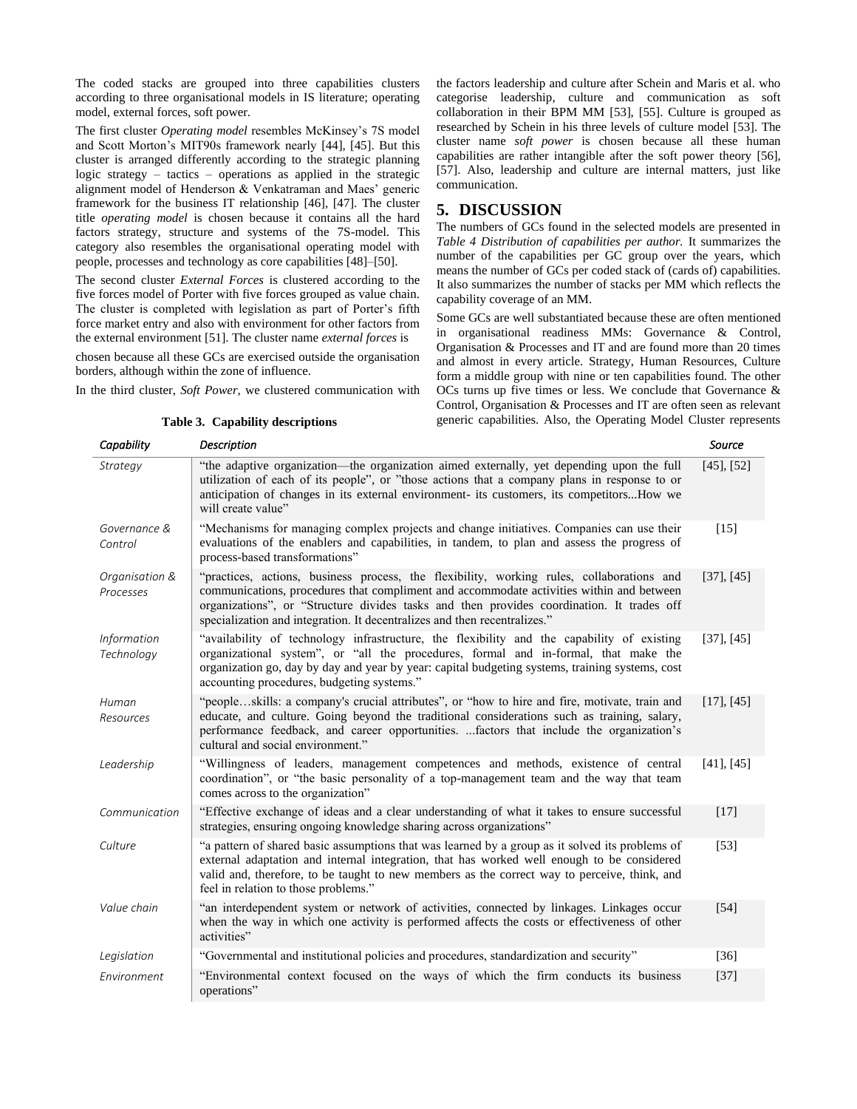The coded stacks are grouped into three capabilities clusters according to three organisational models in IS literature; operating model, external forces, soft power.

The first cluster *Operating model* resembles McKinsey's 7S model and Scott Morton's MIT90s framework nearly [44], [45]. But this cluster is arranged differently according to the strategic planning logic strategy – tactics – operations as applied in the strategic alignment model of Henderson & Venkatraman and Maes' generic framework for the business IT relationship [46], [47]. The cluster title *operating model* is chosen because it contains all the hard factors strategy, structure and systems of the 7S-model. This category also resembles the organisational operating model with people, processes and technology as core capabilities [48]–[50].

The second cluster *External Forces* is clustered according to the five forces model of Porter with five forces grouped as value chain. The cluster is completed with legislation as part of Porter's fifth force market entry and also with environment for other factors from the external environment [51]. The cluster name *external forces* is

chosen because all these GCs are exercised outside the organisation borders, although within the zone of influence.

In the third cluster, *Soft Power,* we clustered communication with

the factors leadership and culture after Schein and Maris et al. who categorise leadership, culture and communication as soft collaboration in their BPM MM [53], [55]. Culture is grouped as researched by Schein in his three levels of culture model [53]. The cluster name *soft power* is chosen because all these human capabilities are rather intangible after the soft power theory [56], [57]. Also, leadership and culture are internal matters, just like communication.

#### **5. DISCUSSION**

The numbers of GCs found in the selected models are presented in *Table 4 Distribution of capabilities per author.* It summarizes the number of the capabilities per GC group over the years, which means the number of GCs per coded stack of (cards of) capabilities. It also summarizes the number of stacks per MM which reflects the capability coverage of an MM.

Some GCs are well substantiated because these are often mentioned in organisational readiness MMs: Governance & Control, Organisation & Processes and IT and are found more than 20 times and almost in every article. Strategy, Human Resources, Culture form a middle group with nine or ten capabilities found. The other OCs turns up five times or less. We conclude that Governance & Control, Organisation & Processes and IT are often seen as relevant generic capabilities. Also, the Operating Model Cluster represents

| Capability                       | <b>Description</b>                                                                                                                                                                                                                                                                                                                                              | Source            |
|----------------------------------|-----------------------------------------------------------------------------------------------------------------------------------------------------------------------------------------------------------------------------------------------------------------------------------------------------------------------------------------------------------------|-------------------|
| Strategy                         | "the adaptive organization—the organization aimed externally, yet depending upon the full<br>utilization of each of its people", or "those actions that a company plans in response to or<br>anticipation of changes in its external environment- its customers, its competitorsHow we<br>will create value"                                                    | $[45]$ , $[52]$   |
| Governance &<br>Control          | "Mechanisms for managing complex projects and change initiatives. Companies can use their<br>evaluations of the enablers and capabilities, in tandem, to plan and assess the progress of<br>process-based transformations"                                                                                                                                      | $[15]$            |
| Organisation &<br>Processes      | "practices, actions, business process, the flexibility, working rules, collaborations and<br>communications, procedures that compliment and accommodate activities within and between<br>organizations", or "Structure divides tasks and then provides coordination. It trades off<br>specialization and integration. It decentralizes and then recentralizes." | $[37]$ , $[45]$   |
| <b>Information</b><br>Technology | "availability of technology infrastructure, the flexibility and the capability of existing<br>organizational system", or "all the procedures, formal and in-formal, that make the<br>organization go, day by day and year by year: capital budgeting systems, training systems, cost<br>accounting procedures, budgeting systems."                              | $[37]$ , $[45]$   |
| Human<br>Resources               | "peopleskills: a company's crucial attributes", or "how to hire and fire, motivate, train and<br>educate, and culture. Going beyond the traditional considerations such as training, salary,<br>performance feedback, and career opportunities.  factors that include the organization's<br>cultural and social environment."                                   | [17], [45]        |
| Leadership                       | "Willingness of leaders, management competences and methods, existence of central<br>coordination", or "the basic personality of a top-management team and the way that team<br>comes across to the organization"                                                                                                                                               | $[41]$ , $[45]$   |
| Communication                    | "Effective exchange of ideas and a clear understanding of what it takes to ensure successful<br>strategies, ensuring ongoing knowledge sharing across organizations"                                                                                                                                                                                            | $[17]$            |
| Culture                          | "a pattern of shared basic assumptions that was learned by a group as it solved its problems of<br>external adaptation and internal integration, that has worked well enough to be considered<br>valid and, therefore, to be taught to new members as the correct way to perceive, think, and<br>feel in relation to those problems."                           | $\left[53\right]$ |
| Value chain                      | "an interdependent system or network of activities, connected by linkages. Linkages occur<br>when the way in which one activity is performed affects the costs or effectiveness of other<br>activities"                                                                                                                                                         | $\left[54\right]$ |
| Legislation                      | "Governmental and institutional policies and procedures, standardization and security"                                                                                                                                                                                                                                                                          | $[36]$            |
| Environment                      | "Environmental context focused on the ways of which the firm conducts its business<br>operations"                                                                                                                                                                                                                                                               | $[37]$            |

#### **Table 3. Capability descriptions**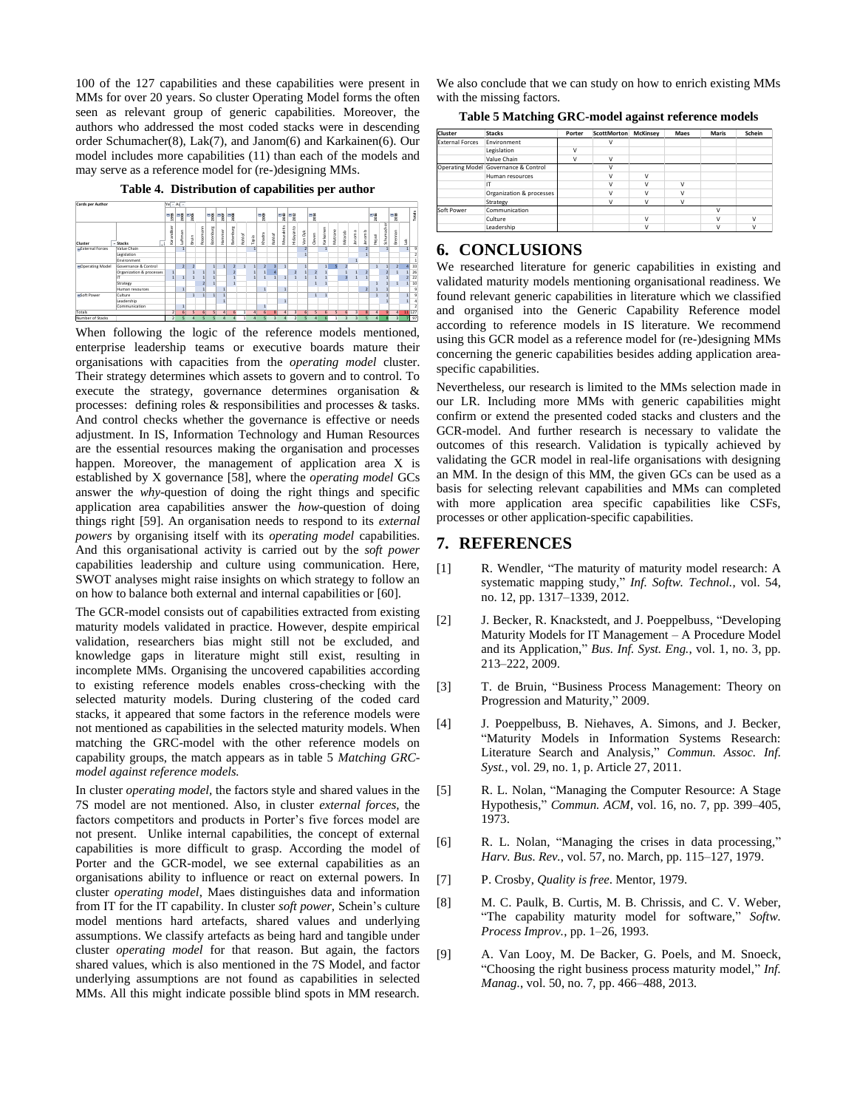100 of the 127 capabilities and these capabilities were present in MMs for over 20 years. So cluster Operating Model forms the often seen as relevant group of generic capabilities. Moreover, the authors who addressed the most coded stacks were in descending order Schumacher(8), Lak(7), and Janom(6) and Karkainen(6). Our model includes more capabilities (11) than each of the models and may serve as a reference model for (re-)designing MMs.

**Table 4. Distribution of capabilities per author**

| Cards per Author         |                          |                | $Ye - Ax -$    |                |          |               |                |                |        |       |                  |              |            |                |                         |        |           |         |                |                |        |        |              |                         |                |                |
|--------------------------|--------------------------|----------------|----------------|----------------|----------|---------------|----------------|----------------|--------|-------|------------------|--------------|------------|----------------|-------------------------|--------|-----------|---------|----------------|----------------|--------|--------|--------------|-------------------------|----------------|----------------|
|                          |                          | $\frac{1}{2}$  | $\frac{1}{2}$  |                |          | $\frac{m}{8}$ | P§ P§          |                |        |       | $\mathbb{F}_8^8$ |              | =a  =a     |                |                         | ≣a     |           |         |                |                |        | ᄩ      |              | ۳ã                      |                | fotals         |
| Cluster                  | - Stacks                 | Karandiker     | Luftman        | Bruin          | Rosemann | Batenburg     | Hammer         | Batenburg      | Rohlof | Tapla | Khadra           | Rohlof       | Mouzakitis | Hidayanto      | Van Dyk                 | Cleven | Karkainen | Matrane | Mirarab        | lanoma         | Janomb | Hejazi | Schumacher   | Brennan                 | ž              |                |
| <b>BExternal Forces</b>  | Value Chain              |                | 1              |                |          |               |                |                |        |       |                  |              |            |                | $\overline{\mathbf{z}}$ |        | 1         |         |                |                |        |        |              |                         | $\mathbf{1}$   | $\overline{9}$ |
|                          | Legislation              |                |                |                |          |               |                |                |        |       |                  |              |            |                |                         |        |           |         |                |                |        |        |              |                         |                |                |
|                          | Environment              |                |                |                |          |               |                |                |        |       |                  |              |            |                |                         |        |           |         |                |                |        |        |              |                         |                |                |
| <b>E</b> Operating Model | Governance & Control     |                | $\overline{2}$ | $\overline{2}$ |          |               | $\mathbf{1}$   | $\overline{2}$ | ٦      |       | $\mathfrak{p}$   |              |            |                |                         |        | 1         |         | $\rightarrow$  |                |        |        |              | $\overline{2}$          | 4              | 33             |
|                          | Organization & processes | $\mathbf{1}$   |                |                |          |               |                |                |        |       | 1                |              |            | $\overline{2}$ | $\mathbf{1}$            |        |           |         |                |                |        |        |              |                         | 1              | 26             |
|                          |                          | 1              | 1              |                |          |               |                |                |        |       |                  | 1            | 1          | Þ              |                         |        |           |         | $\overline{a}$ |                |        |        |              |                         | $\overline{2}$ | 22             |
|                          | Strategy                 |                |                |                | z        |               |                | 1              |        |       |                  |              |            |                |                         |        | Þ         |         |                |                |        |        |              |                         | $\mathbf{1}$   | 10             |
|                          | Human resources          |                |                |                |          |               |                |                |        |       |                  |              |            |                |                         |        |           |         |                |                |        |        |              |                         |                |                |
| <b>BSoft Power</b>       | Culture                  |                |                |                |          |               |                |                |        |       |                  |              |            |                |                         |        |           |         |                |                |        |        |              |                         |                |                |
|                          | Leadership               |                |                |                |          |               | $\overline{1}$ |                |        |       |                  |              | 1          |                |                         |        |           |         |                |                |        |        |              |                         |                |                |
|                          | Communication            |                | 1              |                |          |               |                |                |        |       |                  |              |            |                |                         |        |           |         |                |                |        |        |              |                         |                |                |
| Totals                   |                          | $\rightarrow$  | $\mathsf{F}$   |                |          |               | 4              | $\mathbf{r}$   | ٠      |       | 6                | $\mathbf{R}$ | $\sqrt{2}$ | $\overline{a}$ | F.                      | K,     | ĥ         | K,      | ĥ              | $\overline{a}$ |        | 4      | $\mathbf{Q}$ | $\Delta$                |                | 11 127         |
| Number of Stacks         |                          | $\overline{2}$ |                |                |          |               |                |                |        |       |                  |              |            |                |                         |        |           |         |                | $\overline{3}$ |        |        |              | $\overline{\mathbf{3}}$ | $\overline{z}$ | 97             |

When following the logic of the reference models mentioned, enterprise leadership teams or executive boards mature their organisations with capacities from the *operating model* cluster. Their strategy determines which assets to govern and to control. To execute the strategy, governance determines organisation & processes: defining roles & responsibilities and processes & tasks. And control checks whether the governance is effective or needs adjustment. In IS, Information Technology and Human Resources are the essential resources making the organisation and processes happen. Moreover, the management of application area X is established by X governance [58], where the *operating model* GCs answer the *why-*question of doing the right things and specific application area capabilities answer the *how*-question of doing things right [59]. An organisation needs to respond to its *external powers* by organising itself with its *operating model* capabilities. And this organisational activity is carried out by the *soft power* capabilities leadership and culture using communication. Here, SWOT analyses might raise insights on which strategy to follow an on how to balance both external and internal capabilities or [60].

The GCR-model consists out of capabilities extracted from existing maturity models validated in practice. However, despite empirical validation, researchers bias might still not be excluded, and knowledge gaps in literature might still exist, resulting in incomplete MMs. Organising the uncovered capabilities according to existing reference models enables cross-checking with the selected maturity models. During clustering of the coded card stacks, it appeared that some factors in the reference models were not mentioned as capabilities in the selected maturity models. When matching the GRC-model with the other reference models on capability groups, the match appears as in table 5 *Matching GRCmodel against reference models.*

In cluster *operating model,* the factors style and shared values in the 7S model are not mentioned. Also, in cluster *external forces,* the factors competitors and products in Porter's five forces model are not present. Unlike internal capabilities, the concept of external capabilities is more difficult to grasp. According the model of Porter and the GCR-model, we see external capabilities as an organisations ability to influence or react on external powers. In cluster *operating model*, Maes distinguishes data and information from IT for the IT capability. In cluster *soft power*, Schein's culture model mentions hard artefacts, shared values and underlying assumptions. We classify artefacts as being hard and tangible under cluster *operating model* for that reason. But again, the factors shared values, which is also mentioned in the 7S Model, and factor underlying assumptions are not found as capabilities in selected MMs. All this might indicate possible blind spots in MM research.

We also conclude that we can study on how to enrich existing MMs with the missing factors.

|  |  |  |  |  |  |  |  | Table 5 Matching GRC-model against reference models |  |
|--|--|--|--|--|--|--|--|-----------------------------------------------------|--|
|--|--|--|--|--|--|--|--|-----------------------------------------------------|--|

| Cluster                | <b>Stacks</b>                        | Porter | ScottMorton  | <b>McKinsey</b> | Maes | <b>Maris</b> | Schein       |
|------------------------|--------------------------------------|--------|--------------|-----------------|------|--------------|--------------|
| <b>External Forces</b> | Environment                          |        | $\vee$       |                 |      |              |              |
|                        | Legislation                          | $\vee$ |              |                 |      |              |              |
|                        | Value Chain                          | v      | $\vee$       |                 |      |              |              |
|                        | Operating Model Governance & Control |        | $\mathsf{V}$ |                 |      |              |              |
|                        | Human resources                      |        | $\vee$       | v               |      |              |              |
|                        | IT                                   |        | $\vee$       | $\mathsf{v}$    | V    |              |              |
|                        | Organization & processes             |        | $\vee$       | $\mathsf{v}$    | V    |              |              |
|                        | Strategy                             |        | $\vee$       | ν               | V    |              |              |
| Soft Power             | Communication                        |        |              |                 |      | v            |              |
|                        | Culture                              |        |              | v               |      | v            | v            |
|                        | Leadership                           |        |              | v               |      | $\mathsf{v}$ | $\mathbf{v}$ |

#### **6. CONCLUSIONS**

We researched literature for generic capabilities in existing and validated maturity models mentioning organisational readiness. We found relevant generic capabilities in literature which we classified and organised into the Generic Capability Reference model according to reference models in IS literature. We recommend using this GCR model as a reference model for (re-)designing MMs concerning the generic capabilities besides adding application areaspecific capabilities.

Nevertheless, our research is limited to the MMs selection made in our LR. Including more MMs with generic capabilities might confirm or extend the presented coded stacks and clusters and the GCR-model. And further research is necessary to validate the outcomes of this research. Validation is typically achieved by validating the GCR model in real-life organisations with designing an MM. In the design of this MM, the given GCs can be used as a basis for selecting relevant capabilities and MMs can completed with more application area specific capabilities like CSFs, processes or other application-specific capabilities.

## **7. REFERENCES**

- [1] R. Wendler, "The maturity of maturity model research: A systematic mapping study," *Inf. Softw. Technol.*, vol. 54, no. 12, pp. 1317–1339, 2012.
- [2] J. Becker, R. Knackstedt, and J. Poeppelbuss, "Developing Maturity Models for IT Management – A Procedure Model and its Application," *Bus. Inf. Syst. Eng.*, vol. 1, no. 3, pp. 213–222, 2009.
- [3] T. de Bruin, "Business Process Management: Theory on Progression and Maturity," 2009.
- [4] J. Poeppelbuss, B. Niehaves, A. Simons, and J. Becker, "Maturity Models in Information Systems Research: Literature Search and Analysis," *Commun. Assoc. Inf. Syst.*, vol. 29, no. 1, p. Article 27, 2011.
- [5] R. L. Nolan, "Managing the Computer Resource: A Stage Hypothesis," *Commun. ACM*, vol. 16, no. 7, pp. 399–405, 1973.
- [6] R. L. Nolan, "Managing the crises in data processing," *Harv. Bus. Rev.*, vol. 57, no. March, pp. 115–127, 1979.
- [7] P. Crosby, *Quality is free*. Mentor, 1979.
- [8] M. C. Paulk, B. Curtis, M. B. Chrissis, and C. V. Weber, "The capability maturity model for software," *Softw. Process Improv.*, pp. 1–26, 1993.
- [9] A. Van Looy, M. De Backer, G. Poels, and M. Snoeck, "Choosing the right business process maturity model," *Inf. Manag.*, vol. 50, no. 7, pp. 466–488, 2013.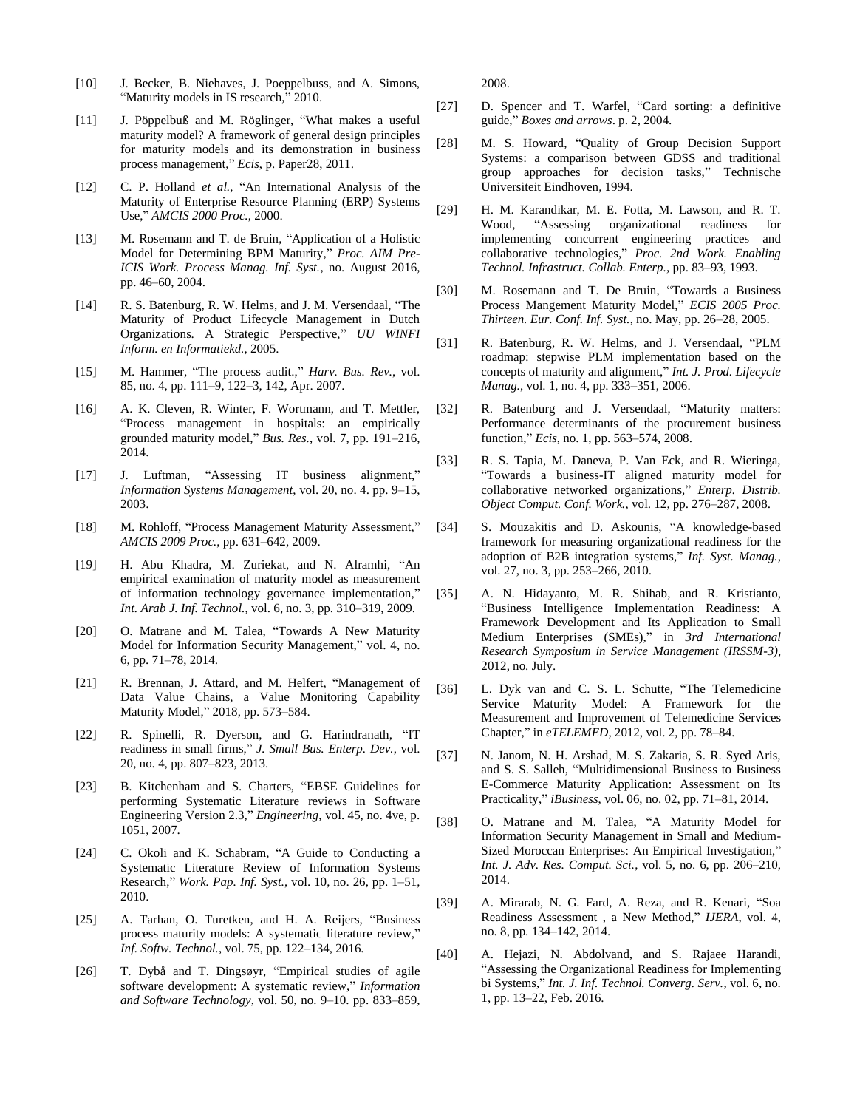- [10] J. Becker, B. Niehaves, J. Poeppelbuss, and A. Simons, "Maturity models in IS research," 2010.
- [11] J. Pöppelbuß and M. Röglinger, "What makes a useful maturity model? A framework of general design principles for maturity models and its demonstration in business process management," *Ecis*, p. Paper28, 2011.
- [12] C. P. Holland *et al.*, "An International Analysis of the Maturity of Enterprise Resource Planning (ERP) Systems Use," *AMCIS 2000 Proc.*, 2000.
- [13] M. Rosemann and T. de Bruin, "Application of a Holistic Model for Determining BPM Maturity," *Proc. AIM Pre-ICIS Work. Process Manag. Inf. Syst.*, no. August 2016, pp. 46–60, 2004.
- [14] R. S. Batenburg, R. W. Helms, and J. M. Versendaal, "The Maturity of Product Lifecycle Management in Dutch Organizations. A Strategic Perspective," *UU WINFI Inform. en Informatiekd.*, 2005.
- [15] M. Hammer, "The process audit.," *Harv. Bus. Rev.*, vol. 85, no. 4, pp. 111–9, 122–3, 142, Apr. 2007.
- [16] A. K. Cleven, R. Winter, F. Wortmann, and T. Mettler, "Process management in hospitals: an empirically grounded maturity model," *Bus. Res.*, vol. 7, pp. 191–216, 2014.
- [17] J. Luftman, "Assessing IT business alignment," *Information Systems Management*, vol. 20, no. 4. pp. 9–15, 2003.
- [18] M. Rohloff, "Process Management Maturity Assessment," *AMCIS 2009 Proc.*, pp. 631–642, 2009.
- [19] H. Abu Khadra, M. Zuriekat, and N. Alramhi, "An empirical examination of maturity model as measurement of information technology governance implementation," *Int. Arab J. Inf. Technol.*, vol. 6, no. 3, pp. 310–319, 2009.
- [20] O. Matrane and M. Talea, "Towards A New Maturity Model for Information Security Management," vol. 4, no. 6, pp. 71–78, 2014.
- [21] R. Brennan, J. Attard, and M. Helfert, "Management of Data Value Chains, a Value Monitoring Capability Maturity Model," 2018, pp. 573–584.
- [22] R. Spinelli, R. Dyerson, and G. Harindranath, "IT readiness in small firms," *J. Small Bus. Enterp. Dev.*, vol. 20, no. 4, pp. 807–823, 2013.
- [23] B. Kitchenham and S. Charters, "EBSE Guidelines for performing Systematic Literature reviews in Software Engineering Version 2.3," *Engineering*, vol. 45, no. 4ve, p. 1051, 2007.
- [24] C. Okoli and K. Schabram, "A Guide to Conducting a Systematic Literature Review of Information Systems Research," *Work. Pap. Inf. Syst.*, vol. 10, no. 26, pp. 1–51, 2010.
- [25] A. Tarhan, O. Turetken, and H. A. Reijers, "Business" process maturity models: A systematic literature review," *Inf. Softw. Technol.*, vol. 75, pp. 122–134, 2016.
- [26] T. Dybå and T. Dingsøyr, "Empirical studies of agile software development: A systematic review," *Information and Software Technology*, vol. 50, no. 9–10. pp. 833–859,

2008.

- [27] D. Spencer and T. Warfel, "Card sorting: a definitive guide," *Boxes and arrows*. p. 2, 2004.
- [28] M. S. Howard, "Quality of Group Decision Support Systems: a comparison between GDSS and traditional group approaches for decision tasks," Technische Universiteit Eindhoven, 1994.
- [29] H. M. Karandikar, M. E. Fotta, M. Lawson, and R. T. Wood, "Assessing organizational readiness for implementing concurrent engineering practices and collaborative technologies," *Proc. 2nd Work. Enabling Technol. Infrastruct. Collab. Enterp.*, pp. 83–93, 1993.
- [30] M. Rosemann and T. De Bruin, "Towards a Business Process Mangement Maturity Model," *ECIS 2005 Proc. Thirteen. Eur. Conf. Inf. Syst.*, no. May, pp. 26–28, 2005.
- [31] R. Batenburg, R. W. Helms, and J. Versendaal, "PLM roadmap: stepwise PLM implementation based on the concepts of maturity and alignment," *Int. J. Prod. Lifecycle Manag.*, vol. 1, no. 4, pp. 333–351, 2006.
- [32] R. Batenburg and J. Versendaal, "Maturity matters: Performance determinants of the procurement business function," *Ecis*, no. 1, pp. 563–574, 2008.
- [33] R. S. Tapia, M. Daneva, P. Van Eck, and R. Wieringa, "Towards a business-IT aligned maturity model for collaborative networked organizations," *Enterp. Distrib. Object Comput. Conf. Work.*, vol. 12, pp. 276–287, 2008.
- [34] S. Mouzakitis and D. Askounis, "A knowledge-based framework for measuring organizational readiness for the adoption of B2B integration systems," *Inf. Syst. Manag.*, vol. 27, no. 3, pp. 253–266, 2010.
- [35] A. N. Hidayanto, M. R. Shihab, and R. Kristianto, "Business Intelligence Implementation Readiness: A Framework Development and Its Application to Small Medium Enterprises (SMEs)," in *3rd International Research Symposium in Service Management (IRSSM-3)*, 2012, no. July.
- [36] L. Dyk van and C. S. L. Schutte, "The Telemedicine Service Maturity Model: A Framework for the Measurement and Improvement of Telemedicine Services Chapter," in *eTELEMED*, 2012, vol. 2, pp. 78–84.
- [37] N. Janom, N. H. Arshad, M. S. Zakaria, S. R. Syed Aris, and S. S. Salleh, "Multidimensional Business to Business E-Commerce Maturity Application: Assessment on Its Practicality," *iBusiness*, vol. 06, no. 02, pp. 71–81, 2014.
- [38] O. Matrane and M. Talea, "A Maturity Model for Information Security Management in Small and Medium-Sized Moroccan Enterprises: An Empirical Investigation," *Int. J. Adv. Res. Comput. Sci.*, vol. 5, no. 6, pp. 206–210, 2014.
- [39] A. Mirarab, N. G. Fard, A. Reza, and R. Kenari, "Soa Readiness Assessment , a New Method," *IJERA*, vol. 4, no. 8, pp. 134–142, 2014.
- [40] A. Hejazi, N. Abdolvand, and S. Rajaee Harandi, "Assessing the Organizational Readiness for Implementing bi Systems," *Int. J. Inf. Technol. Converg. Serv.*, vol. 6, no. 1, pp. 13–22, Feb. 2016.